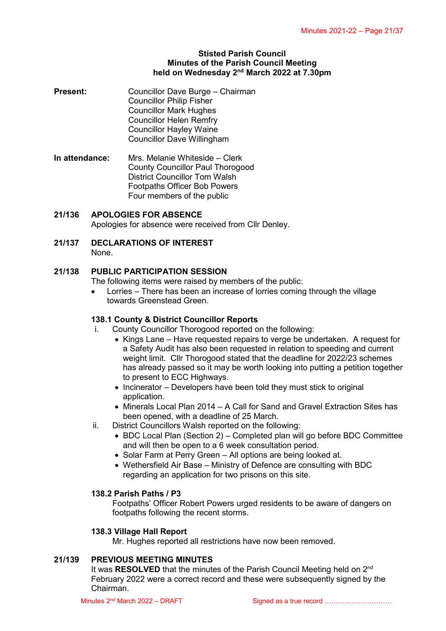### **Stisted Parish Council Minutes of the Parish Council Meeting held on Wednesday 2<sup>nd</sup> March 2022 at 7.30pm**

- **Present:** Councillor Dave Burge Chairman Councillor Philip Fisher Councillor Mark Hughes Councillor Helen Remfry Councillor Hayley Waine Councillor Dave Willingham
- **In attendance:** Mrs. Melanie Whiteside Clerk County Councillor Paul Thorogood District Councillor Tom Walsh Footpaths Officer Bob Powers Four members of the public
- **21/136 APOLOGIES FOR ABSENCE**

Apologies for absence were received from Cllr Denley.

**21/137 DECLARATIONS OF INTEREST** None.

## **21/138 PUBLIC PARTICIPATION SESSION**

The following items were raised by members of the public:

 Lorries – There has been an increase of lorries coming through the village towards Greenstead Green.

## **138.1 County & District Councillor Reports**

- i. County Councillor Thorogood reported on the following:
	- Kings Lane Have requested repairs to verge be undertaken. A request for a Safety Audit has also been requested in relation to speeding and current weight limit. Cllr Thorogood stated that the deadline for 2022/23 schemes has already passed so it may be worth looking into putting a petition together to present to ECC Highways.
	- $\bullet$  Incinerator Developers have been told they must stick to original application.
	- Minerals Local Plan 2014 A Call for Sand and Gravel Extraction Sites has been opened, with a deadline of 25 March.
- ii. District Councillors Walsh reported on the following:
	- BDC Local Plan (Section 2) Completed plan will go before BDC Committee and will then be open to a 6 week consultation period.
	- Solar Farm at Perry Green All options are being looked at.
	- Wethersfield Air Base Ministry of Defence are consulting with BDC regarding an application for two prisons on this site.

## **138.2 Parish Paths / P3**

Footpaths' Officer Robert Powers urged residents to be aware of dangers on footpaths following the recent storms.

## **138.3 Village Hall Report**

Mr. Hughes reported all restrictions have now been removed.

## **21/139 PREVIOUS MEETING MINUTES**

It was RESOLVED that the minutes of the Parish Council Meeting held on 2<sup>nd</sup> February 2022 were a correct record and these were subsequently signed by the Chairman.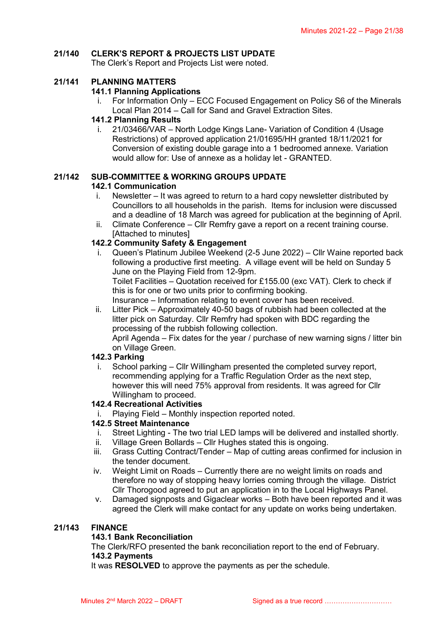# **21/140 CLERK'S REPORT & PROJECTS LIST UPDATE**

The Clerk's Report and Projects List were noted.

### **21/141 PLANNING MATTERS**

### **141.1 Planning Applications**

i. For Information Only – ECC Focused Engagement on Policy S6 of the Minerals Local Plan 2014 – Call for Sand and Gravel Extraction Sites.

### **141.2 Planning Results**

i. 21/03466/VAR – North Lodge Kings Lane- Variation of Condition 4 (Usage Restrictions) of approved application 21/01695/HH granted 18/11/2021 for Conversion of existing double garage into a 1 bedroomed annexe. Variation would allow for: Use of annexe as a holiday let - GRANTED.

### **21/142 SUB-COMMITTEE & WORKING GROUPS UPDATE**

### **142.1 Communication**

- i. Newsletter It was agreed to return to a hard copy newsletter distributed by Councillors to all households in the parish. Items for inclusion were discussed and a deadline of 18 March was agreed for publication at the beginning of April.
- ii. Climate Conference Cllr Remfry gave a report on a recent training course. [Attached to minutes]

## **142.2 Community Safety & Engagement**

i. Queen's Platinum Jubilee Weekend (2-5 June 2022) – Cllr Waine reported back following a productive first meeting. A village event will be held on Sunday 5 June on the Playing Field from 12-9pm.

Toilet Facilities – Quotation received for £155.00 (exc VAT). Clerk to check if this is for one or two units prior to confirming booking.

Insurance – Information relating to event cover has been received.

ii. Litter Pick – Approximately 40-50 bags of rubbish had been collected at the litter pick on Saturday. Cllr Remfry had spoken with BDC regarding the processing of the rubbish following collection.

April Agenda – Fix dates for the year / purchase of new warning signs / litter bin on Village Green.

### **142.3 Parking**

i. School parking – Cllr Willingham presented the completed survey report, recommending applying for a Traffic Regulation Order as the next step, however this will need 75% approval from residents. It was agreed for Cllr Willingham to proceed.

#### **142.4 Recreational Activities**

Playing Field – Monthly inspection reported noted.

#### **142.5 Street Maintenance**

- i. Street Lighting The two trial LED lamps will be delivered and installed shortly.
- ii. Village Green Bollards Cllr Hughes stated this is ongoing.
- iii. Grass Cutting Contract/Tender Map of cutting areas confirmed for inclusion in the tender document.
- iv. Weight Limit on Roads Currently there are no weight limits on roads and therefore no way of stopping heavy lorries coming through the village. District Cllr Thorogood agreed to put an application in to the Local Highways Panel.
- v. Damaged signposts and Gigaclear works Both have been reported and it was agreed the Clerk will make contact for any update on works being undertaken.

## **21/143 FINANCE**

#### **143.1 Bank Reconciliation**

The Clerk/RFO presented the bank reconciliation report to the end of February. **143.2 Payments**

It was **RESOLVED** to approve the payments as per the schedule.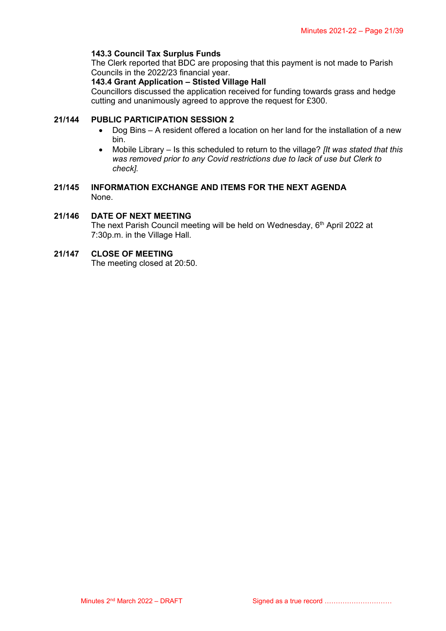### **143.3 Council Tax Surplus Funds**

The Clerk reported that BDC are proposing that this payment is not made to Parish Councils in the 2022/23 financial year.

#### **143.4 Grant Application – Stisted Village Hall**

Councillors discussed the application received for funding towards grass and hedge cutting and unanimously agreed to approve the request for £300.

## **21/144 PUBLIC PARTICIPATION SESSION 2**

- Dog Bins A resident offered a location on her land for the installation of a new bin.
- Mobile Library Is this scheduled to return to the village? *[It was stated that this was removed prior to any Covid restrictions due to lack of use but Clerk to check].*

### **21/145 INFORMATION EXCHANGE AND ITEMS FOR THE NEXT AGENDA** None.

## **21/146 DATE OF NEXT MEETING**

The next Parish Council meeting will be held on Wednesday, 6<sup>th</sup> April 2022 at 7:30p.m. in the Village Hall.

### **21/147 CLOSE OF MEETING**

The meeting closed at 20:50.